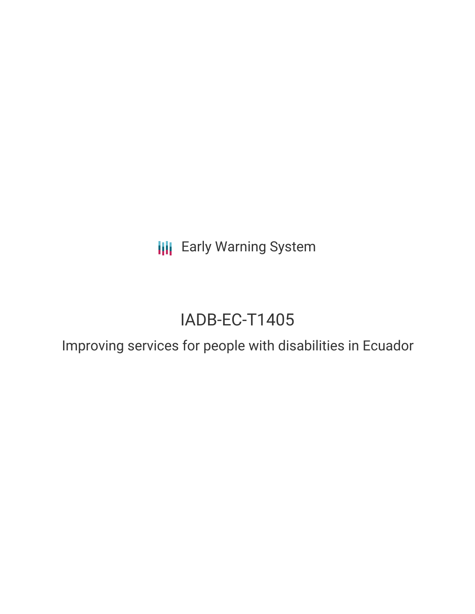**III** Early Warning System

# IADB-EC-T1405

Improving services for people with disabilities in Ecuador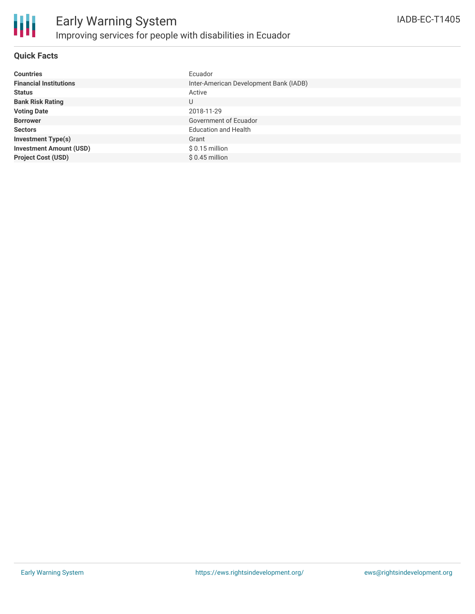

#### **Quick Facts**

| <b>Countries</b>               | Ecuador                                |
|--------------------------------|----------------------------------------|
| <b>Financial Institutions</b>  | Inter-American Development Bank (IADB) |
| <b>Status</b>                  | Active                                 |
| <b>Bank Risk Rating</b>        | U                                      |
| <b>Voting Date</b>             | 2018-11-29                             |
| <b>Borrower</b>                | Government of Ecuador                  |
| <b>Sectors</b>                 | <b>Education and Health</b>            |
| <b>Investment Type(s)</b>      | Grant                                  |
| <b>Investment Amount (USD)</b> | $$0.15$ million                        |
| <b>Project Cost (USD)</b>      | $$0.45$ million                        |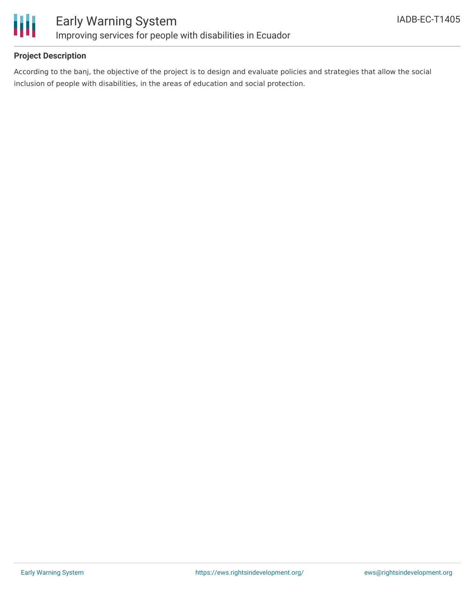

#### **Project Description**

According to the banj, the objective of the project is to design and evaluate policies and strategies that allow the social inclusion of people with disabilities, in the areas of education and social protection.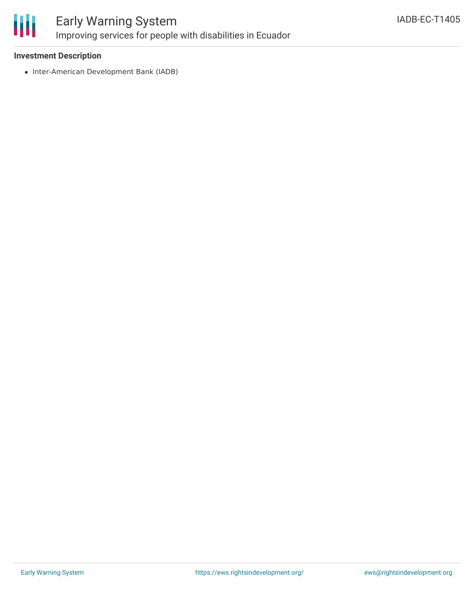

### Early Warning System Improving services for people with disabilities in Ecuador

#### **Investment Description**

• Inter-American Development Bank (IADB)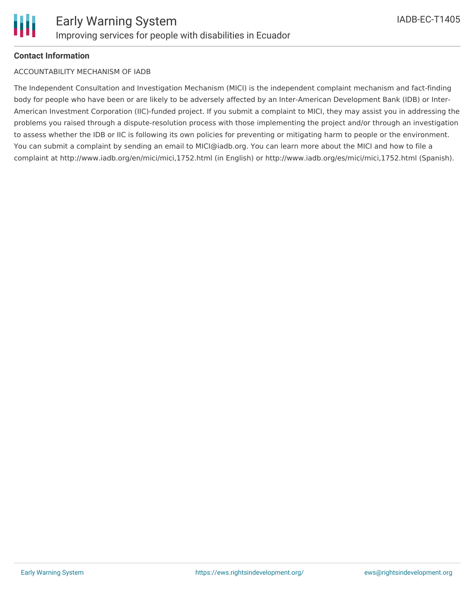#### **Contact Information**

#### ACCOUNTABILITY MECHANISM OF IADB

The Independent Consultation and Investigation Mechanism (MICI) is the independent complaint mechanism and fact-finding body for people who have been or are likely to be adversely affected by an Inter-American Development Bank (IDB) or Inter-American Investment Corporation (IIC)-funded project. If you submit a complaint to MICI, they may assist you in addressing the problems you raised through a dispute-resolution process with those implementing the project and/or through an investigation to assess whether the IDB or IIC is following its own policies for preventing or mitigating harm to people or the environment. You can submit a complaint by sending an email to MICI@iadb.org. You can learn more about the MICI and how to file a complaint at http://www.iadb.org/en/mici/mici,1752.html (in English) or http://www.iadb.org/es/mici/mici,1752.html (Spanish).